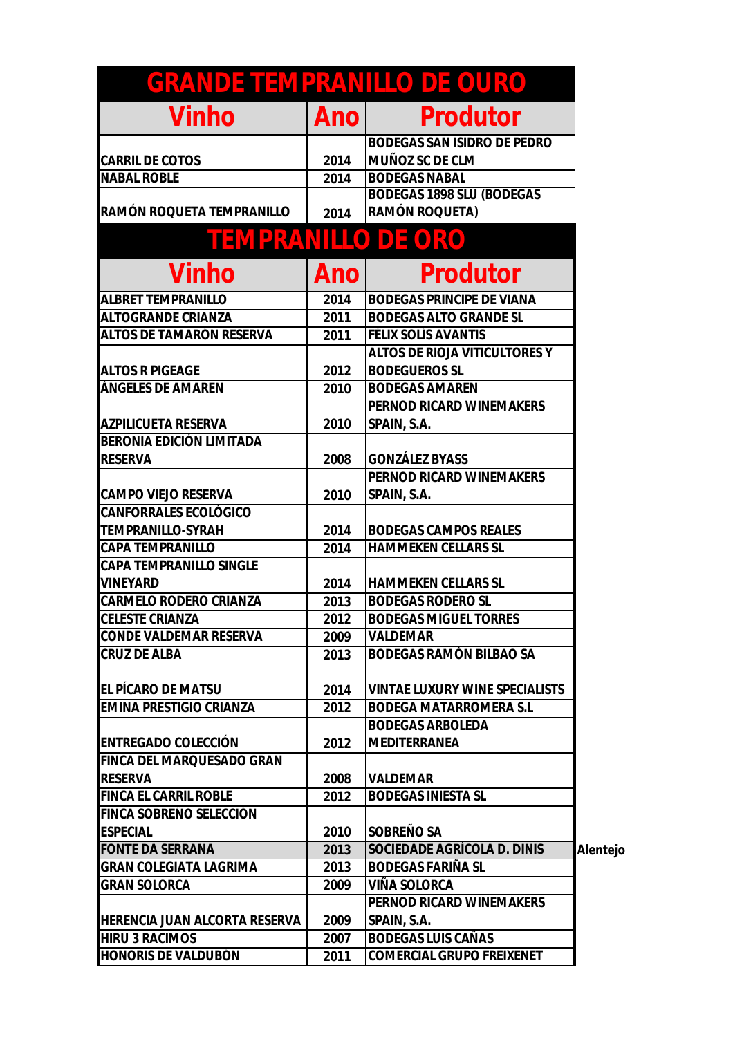|                                      |             | <b>GRANDE TEMPRANILLO DE OURO</b>                         |          |
|--------------------------------------|-------------|-----------------------------------------------------------|----------|
| <b>Vinho</b>                         | <b>Anol</b> | <b>Produtor</b>                                           |          |
|                                      |             | <b>BODEGAS SAN ISIDRO DE PEDRO</b>                        |          |
| <b>CARRIL DE COTOS</b>               | 2014        | <b>MUÑOZ SC DE CLM</b>                                    |          |
| <b>NABAL ROBLE</b>                   | 2014        | <b>BODEGAS NABAL</b>                                      |          |
| RAMÓN ROQUETA TEMPRANILLO            | 2014        | <b>BODEGAS 1898 SLU (BODEGAS</b><br><b>RAMÓN ROQUETA)</b> |          |
| <b>TEMPRANILLO DE ORO</b>            |             |                                                           |          |
| <b>Vinho</b>                         | Ano         | Produtor                                                  |          |
| <b>ALBRET TEMPRANILLO</b>            | 2014        | <b>BODEGAS PRINCIPE DE VIANA</b>                          |          |
| <b>ALTOGRANDE CRIANZA</b>            | 2011        | <b>BODEGAS ALTO GRANDE SL</b>                             |          |
| <b>ALTOS DE TAMARÓN RESERVA</b>      | 2011        | <b>FÉLIX SOLÍS AVANTIS</b>                                |          |
|                                      |             | <b>ALTOS DE RIOJA VITICULTORES Y</b>                      |          |
| <b>ALTOS R PIGEAGE</b>               | 2012        | <b>BODEGUEROS SL</b>                                      |          |
| <b>ÁNGELES DE AMAREN</b>             | 2010        | <b>BODEGAS AMAREN</b>                                     |          |
|                                      |             | <b>PERNOD RICARD WINEMAKERS</b>                           |          |
| <b>AZPILICUETA RESERVA</b>           | 2010        | SPAIN, S.A.                                               |          |
| <b>BERONIA EDICIÓN LIMITADA</b>      |             |                                                           |          |
| <b>RESERVA</b>                       | 2008        | <b>GONZÁLEZ BYASS</b>                                     |          |
|                                      |             | <b>PERNOD RICARD WINEMAKERS</b>                           |          |
| <b>CAMPO VIEJO RESERVA</b>           | 2010        | SPAIN, S.A.                                               |          |
| <b>CANFORRALES ECOLÓGICO</b>         |             |                                                           |          |
| <b>TEMPRANILLO-SYRAH</b>             | 2014        | <b>BODEGAS CAMPOS REALES</b>                              |          |
| <b>CAPA TEMPRANILLO</b>              | 2014        | <b>HAMMEKEN CELLARS SL</b>                                |          |
| <b>CAPA TEMPRANILLO SINGLE</b>       |             |                                                           |          |
| <b>VINEYARD</b>                      | 2014        | <b>HAMMEKEN CELLARS SL</b>                                |          |
| <b>CARMELO RODERO CRIANZA</b>        | 2013        | <b>BODEGAS RODERO SL</b>                                  |          |
| <b>CELESTE CRIANZA</b>               | 2012        | <b>BODEGAS MIGUEL TORRES</b>                              |          |
| <b>CONDE VALDEMAR RESERVA</b>        | 2009        | <b>VALDEMAR</b>                                           |          |
| <b>CRUZ DE ALBA</b>                  | 2013        | <b>BODEGAS RAMÓN BILBAO SA</b>                            |          |
|                                      |             |                                                           |          |
| <b>EL PÍCARO DE MATSU</b>            | 2014        | <b>VINTAE LUXURY WINE SPECIALISTS</b>                     |          |
| <b>EMINA PRESTIGIO CRIANZA</b>       | 2012        | <b>BODEGA MATARROMERA S.L</b>                             |          |
|                                      |             | <b>BODEGAS ARBOLEDA</b>                                   |          |
| <b>ENTREGADO COLECCIÓN</b>           | 2012        | <b>MEDITERRANEA</b>                                       |          |
| <b>FINCA DEL MARQUESADO GRAN</b>     |             |                                                           |          |
| <b>RESERVA</b>                       | 2008        | <b>VALDEMAR</b>                                           |          |
| <b>FINCA EL CARRIL ROBLE</b>         | 2012        | <b>BODEGAS INIESTA SL</b>                                 |          |
| <b>FINCA SOBREÑO SELECCIÓN</b>       |             |                                                           |          |
| <b>ESPECIAL</b>                      | 2010        | <b>SOBREÑO SA</b>                                         |          |
| <b>FONTE DA SERRANA</b>              | 2013        | <b>SOCIEDADE AGRÍCOLA D. DINIS</b>                        | Alentejo |
| <b>GRAN COLEGIATA LAGRIMA</b>        | 2013        | <b>BODEGAS FARIÑA SL</b>                                  |          |
| <b>GRAN SOLORCA</b>                  | 2009        | <b>VIÑA SOLORCA</b>                                       |          |
|                                      |             | <b>PERNOD RICARD WINEMAKERS</b>                           |          |
| <b>HERENCIA JUAN ALCORTA RESERVA</b> | 2009        | SPAIN, S.A.                                               |          |
| <b>HIRU 3 RACIMOS</b>                | 2007        | <b>BODEGAS LUIS CAÑAS</b>                                 |          |
| <b>HONORIS DE VALDUBÓN</b>           | 2011        | <b>COMERCIAL GRUPO FREIXENET</b>                          |          |
|                                      |             |                                                           |          |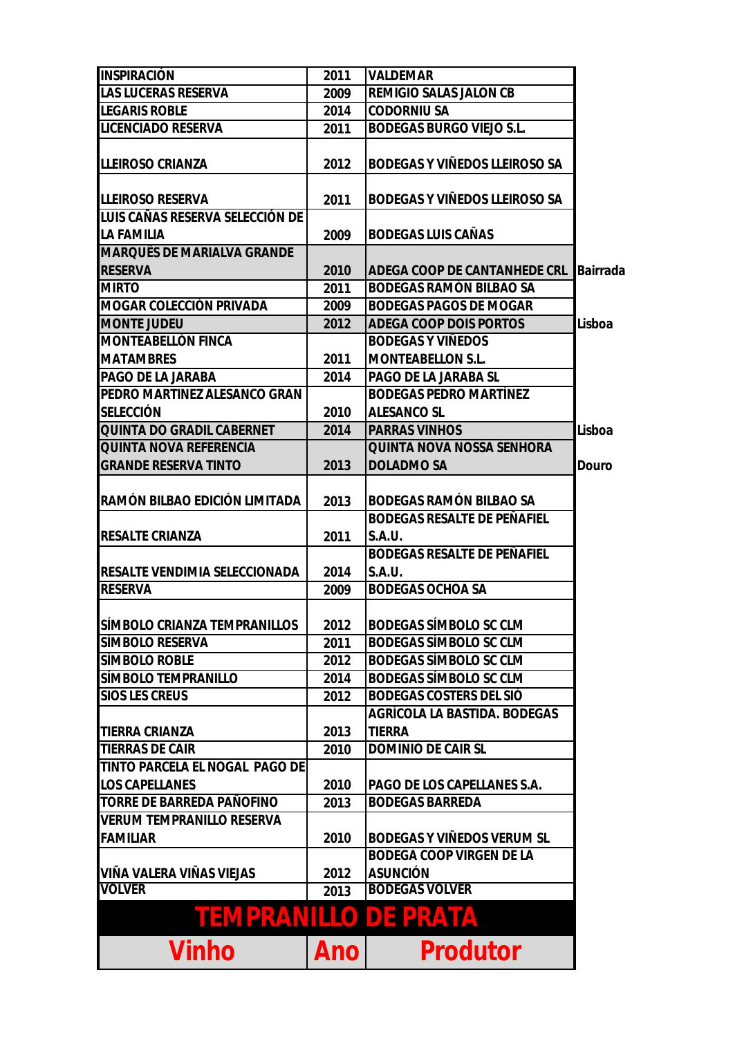| <b>Vinho</b>                                        | <b>Ano</b>   | Produtor                                 |                 |
|-----------------------------------------------------|--------------|------------------------------------------|-----------------|
|                                                     |              | <b>TEMPRANILLO DE PRATA</b>              |                 |
|                                                     |              |                                          |                 |
| <b>VOLVER</b>                                       | 2012<br>2013 | <b>ASUNCIÓN</b><br><b>BODEGAS VOLVER</b> |                 |
| VIÑA VALERA VIÑAS VIEJAS                            |              | <b>BODEGA COOP VIRGEN DE LA</b>          |                 |
| <b>FAMILIAR</b>                                     | 2010         | <b>BODEGAS Y VIÑEDOS VERUM SL</b>        |                 |
| <b>VERUM TEMPRANILLO RESERVA</b>                    |              |                                          |                 |
| <b>TORRE DE BARREDA PAÑOFINO</b>                    | 2013         | <b>BODEGAS BARREDA</b>                   |                 |
| <b>LOS CAPELLANES</b>                               | 2010         | <b>PAGO DE LOS CAPELLANES S.A.</b>       |                 |
| <b>TINTO PARCELA EL NOGAL PAGO DE</b>               |              |                                          |                 |
| <b>TIERRAS DE CAIR</b>                              | 2010         | <b>DOMINIO DE CAIR SL</b>                |                 |
| <b>TIERRA CRIANZA</b>                               | 2013         | <b>TIERRA</b>                            |                 |
|                                                     |              | <b>AGRÍCOLA LA BASTIDA. BODEGAS</b>      |                 |
| <b>SIOS LES CREUS</b>                               | 2012         | <b>BODEGAS COSTERS DEL SIÓ</b>           |                 |
| SÍMBOLO TEMPRANILLO                                 | 2014         | <b>BODEGAS SÍMBOLO SC CLM</b>            |                 |
| SÍMBOLO ROBLE                                       | 2012         | <b>BODEGAS SÍMBOLO SC CLM</b>            |                 |
| <b>SÍMBOLO RESERVA</b>                              | 2011         | <b>BODEGAS SÍMBOLO SC CLM</b>            |                 |
| SÍMBOLO CRIANZA TEMPRANILLOS                        | 2012         | <b>BODEGAS SÍMBOLO SC CLM</b>            |                 |
| <b>RESERVA</b>                                      | 2009         | <b>BODEGAS OCHOA SA</b>                  |                 |
| <b>RESALTE VENDIMIA SELECCIONADA</b>                | 2014         | S.A.U.                                   |                 |
|                                                     |              | <b>BODEGAS RESALTE DE PEÑAFIEL</b>       |                 |
| <b>RESALTE CRIANZA</b>                              | 2011         | S.A.U.                                   |                 |
|                                                     |              | <b>BODEGAS RESALTE DE PEÑAFIEL</b>       |                 |
| RAMÓN BILBAO EDICIÓN LIMITADA                       | 2013         | <b>BODEGAS RAMÓN BILBAO SA</b>           |                 |
| <b>GRANDE RESERVA TINTO</b>                         | 2013         | <b>DOLADMO SA</b>                        | <b>Douro</b>    |
| <b>QUINTA NOVA REFERENCIA</b>                       |              | <b>QUINTA NOVA NOSSA SENHORA</b>         |                 |
| <b>QUINTA DO GRADIL CABERNET</b>                    | 2014         | <b>PARRAS VINHOS</b>                     | Lisboa          |
| <b>SELECCIÓN</b>                                    | 2010         | <b>ALESANCO SL</b>                       |                 |
| PEDRO MARTINEZ ALESANCO GRAN                        |              | <b>BODEGAS PEDRO MARTÍNEZ</b>            |                 |
| <b>PAGO DE LA JARABA</b>                            | 2014         | <b>PAGO DE LA JARABA SL</b>              |                 |
| <b>MATAMBRES</b>                                    | 2011         | <b>MONTEABELLON S.L.</b>                 |                 |
| <b>MONTEABELLÓN FINCA</b>                           |              | <b>BODEGAS Y VIÑEDOS</b>                 |                 |
| <b>MONTE JUDEU</b>                                  | 2012         | <b>ADEGA COOP DOIS PORTOS</b>            | Lisboa          |
| <b>MOGAR COLECCIÓN PRIVADA</b>                      | 2009         | <b>BODEGAS PAGOS DE MOGAR</b>            |                 |
| <b>MIRTO</b>                                        | 2011         | <b>BODEGAS RAMÓN BILBAO SA</b>           |                 |
| <b>MARQUÊS DE MARIALVA GRANDE</b><br><b>RESERVA</b> | 2010         | <b>ADEGA COOP DE CANTANHEDE CRL</b>      | <b>Bairrada</b> |
| <b>LA FAMILIA</b>                                   | 2009         | <b>BODEGAS LUIS CAÑAS</b>                |                 |
| <b>ILUIS CAÑAS RESERVA SELECCIÓN DE</b>             |              |                                          |                 |
| <b>LLEIROSO RESERVA</b>                             | 2011         | <b>BODEGAS Y VIÑEDOS LLEIROSO SA</b>     |                 |
| <b>LLEIROSO CRIANZA</b>                             | 2012         | <b>BODEGAS Y VIÑEDOS LLEIROSO SA</b>     |                 |
| <b>LICENCIADO RESERVA</b>                           | 2011         | <b>BODEGAS BURGO VIEJO S.L.</b>          |                 |
| <b>LEGARIS ROBLE</b>                                | 2014         | <b>CODORNIU SA</b>                       |                 |
| <b>LAS LUCERAS RESERVA</b>                          | 2009         | <b>REMIGIO SALAS JALON CB</b>            |                 |
| <b>INSPIRACIÓN</b>                                  | 2011         | <b>VALDEMAR</b>                          |                 |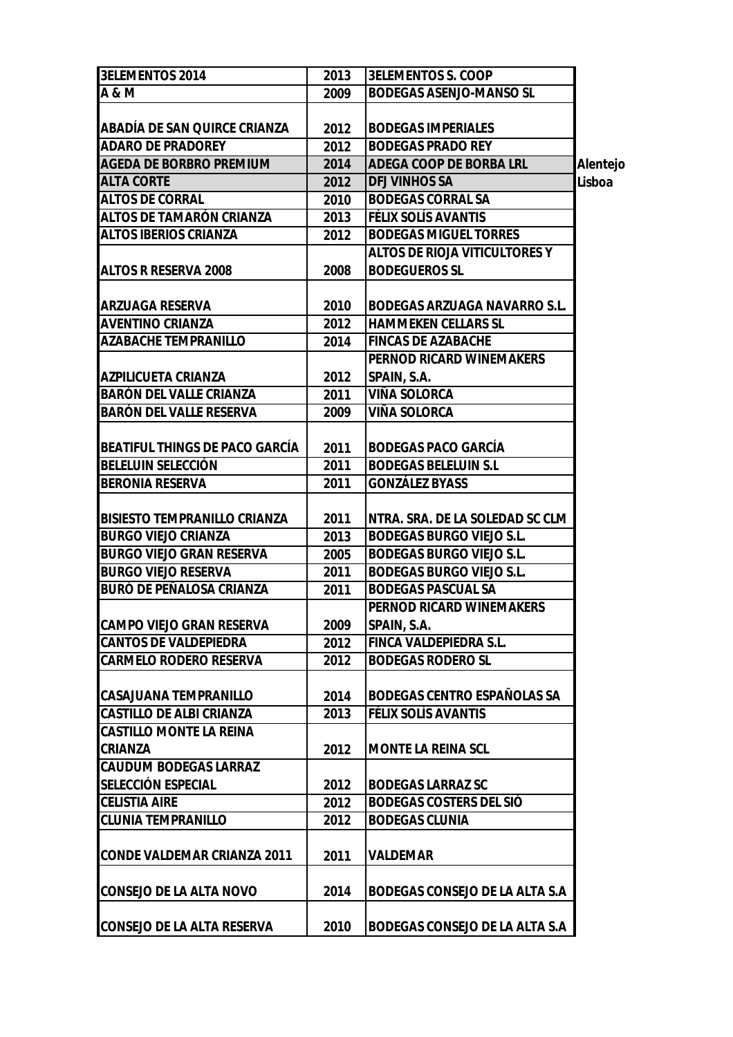| <b>3ELEMENTOS 2014</b>                | 2013         | <b>3ELEMENTOS S. COOP</b>             |          |
|---------------------------------------|--------------|---------------------------------------|----------|
| A & M                                 | 2009         | <b>BODEGAS ASENJO-MANSO SL</b>        |          |
|                                       |              |                                       |          |
| <b>ABADÍA DE SAN QUIRCE CRIANZA</b>   | 2012         | <b>BODEGAS IMPERIALES</b>             |          |
| <b>ADARO DE PRADOREY</b>              | 2012         | <b>BODEGAS PRADO REY</b>              |          |
| <b>AGEDA DE BORBRO PREMIUM</b>        | 2014         | <b>ADEGA COOP DE BORBA LRL</b>        | Alentejo |
| <b>ALTA CORTE</b>                     | 2012         | <b>DFJ VINHOS SA</b>                  | Lisboa   |
| <b>ALTOS DE CORRAL</b>                | 2010         | <b>BODEGAS CORRAL SA</b>              |          |
| <b>ALTOS DE TAMARÓN CRIANZA</b>       | 2013         | <b>FÉLIX SOLÍS AVANTIS</b>            |          |
| <b>ALTOS IBERIOS CRIANZA</b>          | 2012         | <b>BODEGAS MIGUEL TORRES</b>          |          |
|                                       |              | <b>ALTOS DE RIOJA VITICULTORES Y</b>  |          |
| <b>ALTOS R RESERVA 2008</b>           | 2008         | <b>BODEGUEROS SL</b>                  |          |
|                                       |              |                                       |          |
| <b>ARZUAGA RESERVA</b>                | 2010         | <b>BODEGAS ARZUAGA NAVARRO S.L.</b>   |          |
| <b>AVENTINO CRIANZA</b>               | 2012         | <b>HAMMEKEN CELLARS SL</b>            |          |
| <b>AZABACHE TEMPRANILLO</b>           | 2014         | <b>FINCAS DE AZABACHE</b>             |          |
|                                       |              | <b>PERNOD RICARD WINEMAKERS</b>       |          |
| <b>AZPILICUETA CRIANZA</b>            | 2012         | SPAIN, S.A.                           |          |
| <b>BARÓN DEL VALLE CRIANZA</b>        | 2011         | <b>VIÑA SOLORCA</b>                   |          |
| <b>BARÓN DEL VALLE RESERVA</b>        | 2009         | <b>VIÑA SOLORCA</b>                   |          |
|                                       |              |                                       |          |
| <b>BEATIFUL THINGS DE PACO GARCÍA</b> | 2011         | <b>BODEGAS PACO GARCÍA</b>            |          |
| <b>BELELUIN SELECCIÓN</b>             | 2011         | <b>BODEGAS BELELUIN S.L</b>           |          |
| <b>BERONIA RESERVA</b>                | 2011         | <b>GONZÁLEZ BYASS</b>                 |          |
|                                       |              |                                       |          |
| <b>BISIESTO TEMPRANILLO CRIANZA</b>   | 2011         | NTRA. SRA. DE LA SOLEDAD SC CLM       |          |
| <b>BURGO VIEJO CRIANZA</b>            | 2013         | <b>BODEGAS BURGO VIEJO S.L.</b>       |          |
| <b>BURGO VIEJO GRAN RESERVA</b>       | 2005         | <b>BODEGAS BURGO VIEJO S.L.</b>       |          |
| <b>BURGO VIEJO RESERVA</b>            | 2011         | <b>BODEGAS BURGO VIEJO S.L.</b>       |          |
| <b>BURÓ DE PEÑALOSA CRIANZA</b>       | 2011         | <b>BODEGAS PASCUAL SA</b>             |          |
|                                       |              | <b>PERNOD RICARD WINEMAKERS</b>       |          |
| <b>CAMPO VIEJO GRAN RESERVA</b>       | 2009         | SPAIN, S.A.                           |          |
| <b>CANTOS DE VALDEPIEDRA</b>          | 2012         | <b>FINCA VALDEPIEDRA S.L.</b>         |          |
| <b>CARMELO RODERO RESERVA</b>         | 2012         | <b>BODEGAS RODERO SL</b>              |          |
|                                       |              |                                       |          |
| <b>CASAJUANA TEMPRANILLO</b>          |              | <b>BODEGAS CENTRO ESPAÑOLAS SA</b>    |          |
| <b>CASTILLO DE ALBI CRIANZA</b>       | 2014<br>2013 | <b>FÉLIX SOLÍS AVANTIS</b>            |          |
| <b>CASTILLO MONTE LA REINA</b>        |              |                                       |          |
|                                       |              |                                       |          |
| <b>CRIANZA</b>                        | 2012         | <b>MONTE LA REINA SCL</b>             |          |
| <b>CAUDUM BODEGAS LARRAZ</b>          |              |                                       |          |
| <b>SELECCIÓN ESPECIAL</b>             | 2012         | <b>BODEGAS LARRAZ SC</b>              |          |
| <b>CELISTIA AIRE</b>                  | 2012         | <b>BODEGAS COSTERS DEL SIÓ</b>        |          |
| <b>CLUNIA TEMPRANILLO</b>             | 2012         | <b>BODEGAS CLUNIA</b>                 |          |
|                                       |              |                                       |          |
| <b>CONDE VALDEMAR CRIANZA 2011</b>    | 2011         | <b>VALDEMAR</b>                       |          |
|                                       |              |                                       |          |
| <b>CONSEJO DE LA ALTA NOVO</b>        | 2014         | <b>BODEGAS CONSEJO DE LA ALTA S.A</b> |          |
|                                       |              |                                       |          |
| <b>CONSEJO DE LA ALTA RESERVA</b>     | 2010         | <b>BODEGAS CONSEJO DE LA ALTA S.A</b> |          |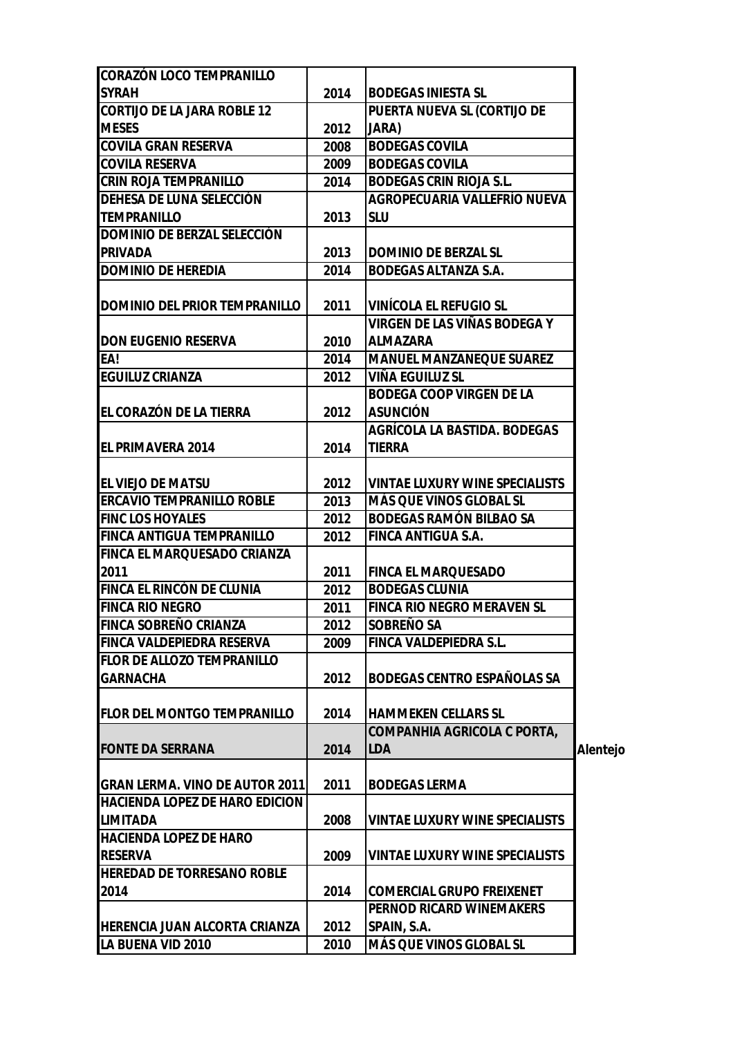| <b>CORAZÓN LOCO TEMPRANILLO</b>       |      |                                                  |          |
|---------------------------------------|------|--------------------------------------------------|----------|
| <b>SYRAH</b>                          | 2014 | <b>BODEGAS INIESTA SL</b>                        |          |
| <b>CORTIJO DE LA JARA ROBLE 12</b>    |      | PUERTA NUEVA SL (CORTIJO DE                      |          |
| <b>MESES</b>                          | 2012 | <b>JARA)</b>                                     |          |
| <b>COVILA GRAN RESERVA</b>            | 2008 | <b>BODEGAS COVILA</b>                            |          |
| <b>COVILA RESERVA</b>                 | 2009 | <b>BODEGAS COVILA</b>                            |          |
| <b>CRIN ROJA TEMPRANILLO</b>          | 2014 | <b>BODEGAS CRIN RIOJA S.L.</b>                   |          |
| <b>DEHESA DE LUNA SELECCIÓN</b>       |      | AGROPECUARIA VALLEFRÍO NUEVA                     |          |
| <b>TEMPRANILLO</b>                    | 2013 | <b>SLU</b>                                       |          |
| <b>DOMINIO DE BERZAL SELECCIÓN</b>    |      |                                                  |          |
| <b>PRIVADA</b>                        | 2013 | <b>DOMINIO DE BERZAL SL</b>                      |          |
| <b>DOMINIO DE HEREDIA</b>             | 2014 | <b>BODEGAS ALTANZA S.A.</b>                      |          |
| <b>DOMINIO DEL PRIOR TEMPRANILLO</b>  | 2011 | <b>VINÍCOLA EL REFUGIO SL</b>                    |          |
|                                       |      | <b>VIRGEN DE LAS VIÑAS BODEGA Y</b>              |          |
| <b>DON EUGENIO RESERVA</b>            | 2010 | <b>ALMAZARA</b>                                  |          |
| EA!                                   | 2014 | <b>MANUEL MANZANEQUE SUAREZ</b>                  |          |
| <b>EGUILUZ CRIANZA</b>                | 2012 | <b>VIÑA EGUILUZ SL</b>                           |          |
|                                       |      | <b>BODEGA COOP VIRGEN DE LA</b>                  |          |
| EL CORAZÓN DE LA TIERRA               | 2012 | <b>ASUNCIÓN</b>                                  |          |
|                                       |      | AGRÍCOLA LA BASTIDA. BODEGAS                     |          |
| <b>EL PRIMAVERA 2014</b>              | 2014 | <b>TIERRA</b>                                    |          |
| <b>EL VIEJO DE MATSU</b>              | 2012 | <b>VINTAE LUXURY WINE SPECIALISTS</b>            |          |
| <b>ERCAVIO TEMPRANILLO ROBLE</b>      | 2013 | <b>MÁS QUE VINOS GLOBAL SL</b>                   |          |
| <b>FINC LOS HOYALES</b>               | 2012 | <b>BODEGAS RAMÓN BILBAO SA</b>                   |          |
| <b>FINCA ANTIGUA TEMPRANILLO</b>      | 2012 | <b>FINCA ANTIGUA S.A.</b>                        |          |
| <b>FINCA EL MARQUESADO CRIANZA</b>    |      |                                                  |          |
| 2011                                  | 2011 | <b>FINCA EL MARQUESADO</b>                       |          |
| <b>FINCA EL RINCÓN DE CLUNIA</b>      | 2012 | <b>BODEGAS CLUNIA</b>                            |          |
| <b>FINCA RIO NEGRO</b>                | 2011 | <b>FINCA RIO NEGRO MERAVEN SL</b>                |          |
| <b>FINCA SOBREÑO CRIANZA</b>          | 2012 | <b>SOBREÑO SA</b>                                |          |
| <b>FINCA VALDEPIEDRA RESERVA</b>      | 2009 | <b>FINCA VALDEPIEDRA S.L.</b>                    |          |
| <b>FLOR DE ALLOZO TEMPRANILLO</b>     |      |                                                  |          |
| <b>GARNACHA</b>                       | 2012 | <b>BODEGAS CENTRO ESPAÑOLAS SA</b>               |          |
| <b>FLOR DEL MONTGO TEMPRANILLO</b>    | 2014 | <b>HAMMEKEN CELLARS SL</b>                       |          |
| <b>FONTE DA SERRANA</b>               | 2014 | <b>COMPANHIA AGRICOLA C PORTA,</b><br><b>LDA</b> | Alentejo |
| <b>GRAN LERMA. VINO DE AUTOR 2011</b> | 2011 | <b>BODEGAS LERMA</b>                             |          |
| <b>HACIENDA LOPEZ DE HARO EDICION</b> |      |                                                  |          |
| <b>LIMITADA</b>                       | 2008 | <b>VINTAE LUXURY WINE SPECIALISTS</b>            |          |
| <b>HACIENDA LOPEZ DE HARO</b>         |      |                                                  |          |
| <b>RESERVA</b>                        | 2009 | <b>VINTAE LUXURY WINE SPECIALISTS</b>            |          |
| <b>HEREDAD DE TORRESANO ROBLE</b>     |      |                                                  |          |
| 2014                                  | 2014 | <b>COMERCIAL GRUPO FREIXENET</b>                 |          |
|                                       |      | <b>PERNOD RICARD WINEMAKERS</b>                  |          |
| HERENCIA JUAN ALCORTA CRIANZA         | 2012 | SPAIN, S.A.                                      |          |
| LA BUENA VID 2010                     | 2010 | MÁS QUE VINOS GLOBAL SL                          |          |
|                                       |      |                                                  |          |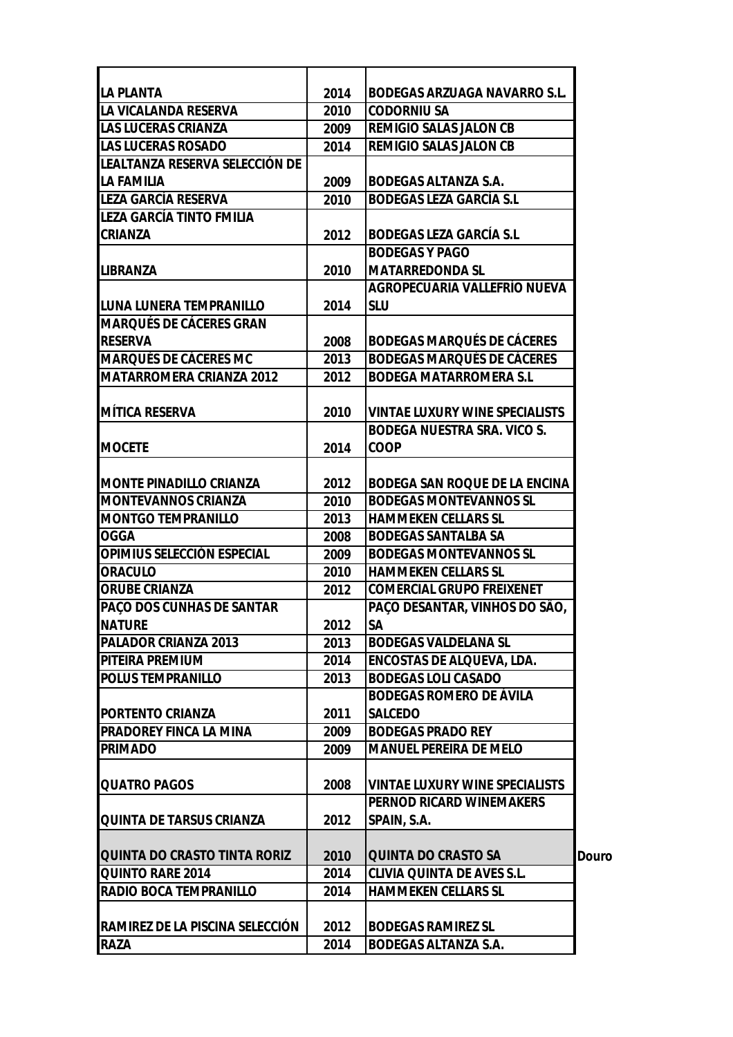| <b>LA PLANTA</b>                       | 2014 | <b>BODEGAS ARZUAGA NAVARRO S.L.</b>             |       |
|----------------------------------------|------|-------------------------------------------------|-------|
| LA VICALANDA RESERVA                   | 2010 | <b>CODORNIU SA</b>                              |       |
| <b>LAS LUCERAS CRIANZA</b>             | 2009 | <b>REMIGIO SALAS JALON CB</b>                   |       |
| <b>LAS LUCERAS ROSADO</b>              | 2014 | <b>REMIGIO SALAS JALON CB</b>                   |       |
| LEALTANZA RESERVA SELECCIÓN DE         |      |                                                 |       |
| <b>LA FAMILIA</b>                      | 2009 | <b>BODEGAS ALTANZA S.A.</b>                     |       |
| LEZA GARCÍA RESERVA                    | 2010 | <b>BODEGAS LEZA GARCÍA S.L</b>                  |       |
| <b>LEZA GARCÍA TINTO FMILIA</b>        |      |                                                 |       |
| <b>CRIANZA</b>                         | 2012 | <b>BODEGAS LEZA GARCÍA S.L</b>                  |       |
|                                        |      | <b>BODEGAS Y PAGO</b><br><b>MATARREDONDA SL</b> |       |
| ILIBRANZA                              | 2010 | AGROPECUARIA VALLEFRÍO NUEVA                    |       |
| LUNA LUNERA TEMPRANILLO                |      | <b>SLU</b>                                      |       |
| <b>MARQUÉS DE CÁCERES GRAN</b>         | 2014 |                                                 |       |
| <b>IRESERVA</b>                        | 2008 | <b>BODEGAS MARQUÉS DE CÁCERES</b>               |       |
| <b>IMARQUÉS DE CÁCERES MC</b>          | 2013 | <b>BODEGAS MARQUÉS DE CÁCERES</b>               |       |
| <b>MATARROMERA CRIANZA 2012</b>        | 2012 | <b>BODEGA MATARROMERA S.L</b>                   |       |
|                                        |      |                                                 |       |
| <b>MÍTICA RESERVA</b>                  | 2010 | <b>VINTAE LUXURY WINE SPECIALISTS</b>           |       |
|                                        |      | <b>BODEGA NUESTRA SRA. VICO S.</b>              |       |
| <b>IMOCETE</b>                         | 2014 | <b>COOP</b>                                     |       |
|                                        |      |                                                 |       |
| <b>MONTE PINADILLO CRIANZA</b>         | 2012 | <b>BODEGA SAN ROQUE DE LA ENCINA</b>            |       |
| <b>IMONTEVANNOS CRIANZA</b>            | 2010 | <b>BODEGAS MONTEVANNOS SL</b>                   |       |
| <b>MONTGO TEMPRANILLO</b>              | 2013 | <b>HAMMEKEN CELLARS SL</b>                      |       |
| <b>OGGA</b>                            | 2008 | <b>BODEGAS SANTALBA SA</b>                      |       |
| <b>OPIMIUS SELECCIÓN ESPECIAL</b>      | 2009 | <b>BODEGAS MONTEVANNOS SL</b>                   |       |
| <b>ORACULO</b>                         | 2010 | <b>HAMMEKEN CELLARS SL</b>                      |       |
| <b>ORUBE CRIANZA</b>                   | 2012 | <b>COMERCIAL GRUPO FREIXENET</b>                |       |
| <b>PACO DOS CUNHAS DE SANTAR</b>       |      | PAÇO DESANTAR, VINHOS DO SÃO,                   |       |
| INAIURE                                | 2012 | SА                                              |       |
| PALADOR CRIANZA 2013                   | 2013 | <b>BODEGAS VALDELANA SL</b>                     |       |
| <b>PITEIRA PREMIUM</b>                 | 2014 | <b>ENCOSTAS DE ALQUEVA, LDA.</b>                |       |
| <b>POLUS TEMPRANILLO</b>               | 2013 | <b>BODEGAS LOLI CASADO</b>                      |       |
|                                        |      | <b>BODEGAS ROMERO DE ÁVILA</b>                  |       |
| <b>PORTENTO CRIANZA</b>                | 2011 | <b>SALCEDO</b>                                  |       |
| <b>PRADOREY FINCA LA MINA</b>          | 2009 | <b>BODEGAS PRADO REY</b>                        |       |
| <b>PRIMADO</b>                         | 2009 | <b>MANUEL PEREIRA DE MELO</b>                   |       |
|                                        |      |                                                 |       |
| <b>QUATRO PAGOS</b>                    | 2008 | <b>VINTAE LUXURY WINE SPECIALISTS</b>           |       |
|                                        |      | <b>PERNOD RICARD WINEMAKERS</b>                 |       |
| QUINTA DE TARSUS CRIANZA               | 2012 | SPAIN, S.A.                                     |       |
|                                        |      |                                                 |       |
| QUINTA DO CRASTO TINTA RORIZ           | 2010 | <b>QUINTA DO CRASTO SA</b>                      | Douro |
| <b>QUINTO RARE 2014</b>                | 2014 | <b>CLIVIA QUINTA DE AVES S.L.</b>               |       |
| <b>RADIO BOCA TEMPRANILLO</b>          | 2014 | <b>HAMMEKEN CELLARS SL</b>                      |       |
|                                        |      |                                                 |       |
| <b>RAMIREZ DE LA PISCINA SELECCIÓN</b> | 2012 | <b>BODEGAS RAMIREZ SL</b>                       |       |
| <b>RAZA</b>                            | 2014 | <b>BODEGAS ALTANZA S.A.</b>                     |       |